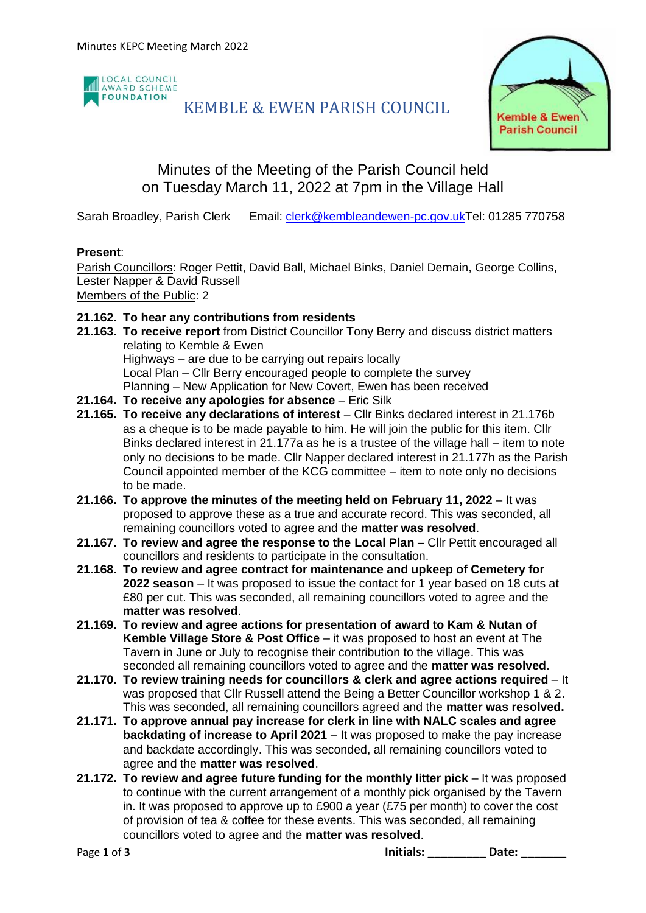

# KEMBLE & EWEN PARISH COUNCIL



# Minutes of the Meeting of the Parish Council held on Tuesday March 11, 2022 at 7pm in the Village Hall

Sarah Broadley, Parish Clerk Email: [clerk@kembleandewen-pc.gov.ukT](mailto:clerk@kembleandewen-pc.gov.uk)el: 01285 770758

## **Present**:

Parish Councillors: Roger Pettit, David Ball, Michael Binks, Daniel Demain, George Collins, Lester Napper & David Russell

Members of the Public: 2

## **21.162. To hear any contributions from residents**

- **21.163. To receive report** from District Councillor Tony Berry and discuss district matters relating to Kemble & Ewen Highways – are due to be carrying out repairs locally Local Plan – Cllr Berry encouraged people to complete the survey Planning – New Application for New Covert, Ewen has been received
- **21.164. To receive any apologies for absence** Eric Silk
- **21.165. To receive any declarations of interest** Cllr Binks declared interest in 21.176b as a cheque is to be made payable to him. He will join the public for this item. Cllr Binks declared interest in 21.177a as he is a trustee of the village hall – item to note only no decisions to be made. Cllr Napper declared interest in 21.177h as the Parish Council appointed member of the KCG committee – item to note only no decisions to be made.
- **21.166. To approve the minutes of the meeting held on February 11, 2022** It was proposed to approve these as a true and accurate record. This was seconded, all remaining councillors voted to agree and the **matter was resolved**.
- **21.167. To review and agree the response to the Local Plan –** Cllr Pettit encouraged all councillors and residents to participate in the consultation.
- **21.168. To review and agree contract for maintenance and upkeep of Cemetery for 2022 season** – It was proposed to issue the contact for 1 year based on 18 cuts at £80 per cut. This was seconded, all remaining councillors voted to agree and the **matter was resolved**.
- **21.169. To review and agree actions for presentation of award to Kam & Nutan of Kemble Village Store & Post Office** – it was proposed to host an event at The Tavern in June or July to recognise their contribution to the village. This was seconded all remaining councillors voted to agree and the **matter was resolved**.
- **21.170. To review training needs for councillors & clerk and agree actions required** It was proposed that Cllr Russell attend the Being a Better Councillor workshop 1 & 2. This was seconded, all remaining councillors agreed and the **matter was resolved.**
- **21.171. To approve annual pay increase for clerk in line with NALC scales and agree backdating of increase to April 2021** – It was proposed to make the pay increase and backdate accordingly. This was seconded, all remaining councillors voted to agree and the **matter was resolved**.
- **21.172. To review and agree future funding for the monthly litter pick** It was proposed to continue with the current arrangement of a monthly pick organised by the Tavern in. It was proposed to approve up to £900 a year (£75 per month) to cover the cost of provision of tea & coffee for these events. This was seconded, all remaining councillors voted to agree and the **matter was resolved**.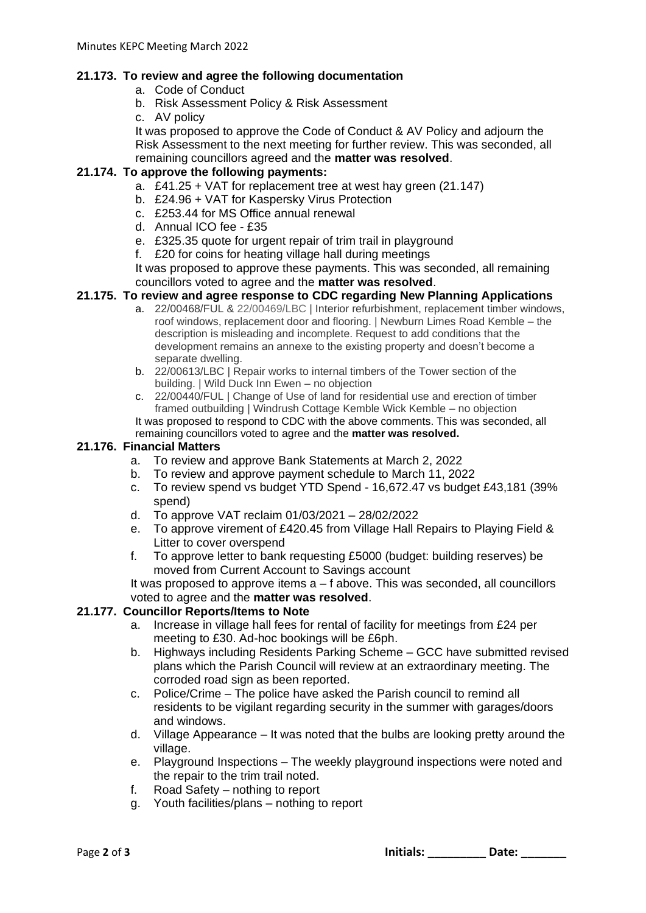## **21.173. To review and agree the following documentation**

- a. Code of Conduct
- b. Risk Assessment Policy & Risk Assessment
- c. AV policy

It was proposed to approve the Code of Conduct & AV Policy and adjourn the Risk Assessment to the next meeting for further review. This was seconded, all remaining councillors agreed and the **matter was resolved**.

### **21.174. To approve the following payments:**

- a. £41.25 + VAT for replacement tree at west hay green (21.147)
- b. £24.96 + VAT for Kaspersky Virus Protection
- c. £253.44 for MS Office annual renewal
- d. Annual ICO fee £35
- e. £325.35 quote for urgent repair of trim trail in playground
- f. £20 for coins for heating village hall during meetings

It was proposed to approve these payments. This was seconded, all remaining councillors voted to agree and the **matter was resolved**.

#### **21.175. To review and agree response to CDC regarding New Planning Applications**

- a. 22/00468/FUL & 22/00469/LBC | Interior refurbishment, replacement timber windows, roof windows, replacement door and flooring. | Newburn Limes Road Kemble – the description is misleading and incomplete. Request to add conditions that the development remains an annexe to the existing property and doesn't become a separate dwelling.
- b. 22/00613/LBC | Repair works to internal timbers of the Tower section of the building. | Wild Duck Inn Ewen – no objection
- c. 22/00440/FUL | Change of Use of land for residential use and erection of timber framed outbuilding | Windrush Cottage Kemble Wick Kemble – no objection It was proposed to respond to CDC with the above comments. This was seconded, all remaining councillors voted to agree and the **matter was resolved.**

#### **21.176. Financial Matters**

- a. To review and approve Bank Statements at March 2, 2022
- b. To review and approve payment schedule to March 11, 2022
- c. To review spend vs budget YTD Spend 16,672.47 vs budget £43,181 (39% spend)
- d. To approve VAT reclaim 01/03/2021 28/02/2022
- e. To approve virement of £420.45 from Village Hall Repairs to Playing Field & Litter to cover overspend
- f. To approve letter to bank requesting £5000 (budget: building reserves) be moved from Current Account to Savings account

It was proposed to approve items a – f above. This was seconded, all councillors voted to agree and the **matter was resolved**.

### **21.177. Councillor Reports/Items to Note**

- a. Increase in village hall fees for rental of facility for meetings from £24 per meeting to £30. Ad-hoc bookings will be £6ph.
- b. Highways including Residents Parking Scheme GCC have submitted revised plans which the Parish Council will review at an extraordinary meeting. The corroded road sign as been reported.
- c. Police/Crime The police have asked the Parish council to remind all residents to be vigilant regarding security in the summer with garages/doors and windows.
- d. Village Appearance It was noted that the bulbs are looking pretty around the village.
- e. Playground Inspections The weekly playground inspections were noted and the repair to the trim trail noted.
- f. Road Safety nothing to report
- g. Youth facilities/plans nothing to report

Page 2 of 3 **Date: Date: Page 2 of 3 Initials: Date: Date: Date: Date: Date: Date: Date: Date: Date: Date: Date: Date: Date: Date: Date: Date: Date: Date: Date: Date: Date:**